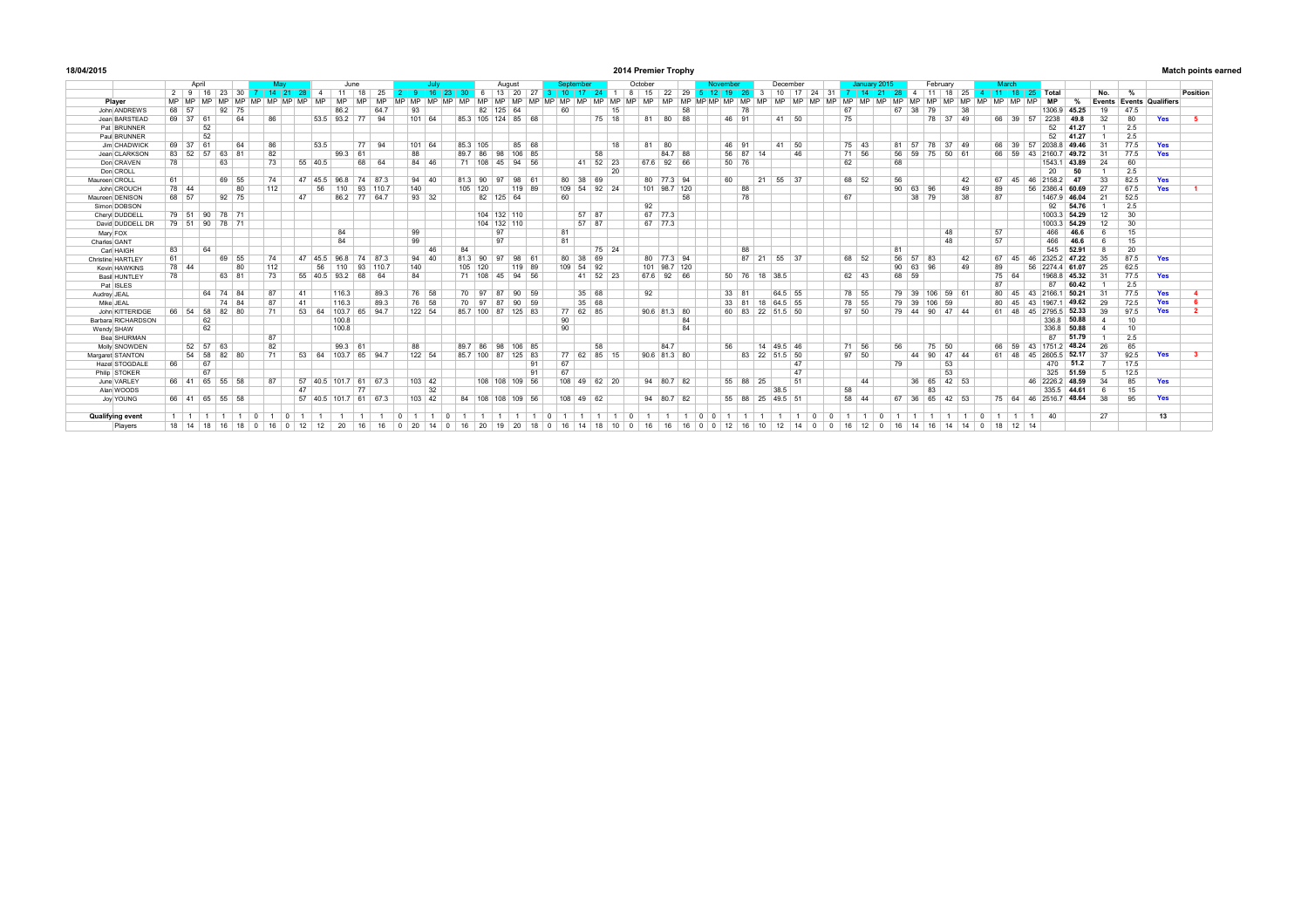| 18/04/2015 | 2014 Premier Trophy | <b>Match points earned</b> |
|------------|---------------------|----------------------------|
|            |                     |                            |

|                    | Anril |                            |          |              | June            |           |            |                |           |                    |        |           | Auausi |              |    |                      |          |                    |                 |              | October |                  |           |              |     |           |              |    | Decembe |             |           |                  |           | January 2015 |         |    | February              |          |                  |                |             | March     |    |           |           |           |                  |           |                       |                |                          |                     |  |
|--------------------|-------|----------------------------|----------|--------------|-----------------|-----------|------------|----------------|-----------|--------------------|--------|-----------|--------|--------------|----|----------------------|----------|--------------------|-----------------|--------------|---------|------------------|-----------|--------------|-----|-----------|--------------|----|---------|-------------|-----------|------------------|-----------|--------------|---------|----|-----------------------|----------|------------------|----------------|-------------|-----------|----|-----------|-----------|-----------|------------------|-----------|-----------------------|----------------|--------------------------|---------------------|--|
|                    |       | $2 \mid 9 \mid 16 \mid 23$ |          |              | 30              |           | $14$ 21 28 |                |           | 11                 | 18     | 25        |        |              |    | $16 \mid 23 \mid 30$ |          |                    |                 | 6 13 20 27 3 |         | 410 <sup>2</sup> | $-17$     |              |     | 24 1 8 15 | 22           | 29 |         | 5 12 19     |           | $\mathbf{3}$     | 10        | 17           | 24 31 7 |    | 14                    |          | 21 28 4 11 18 25 |                |             |           |    |           |           |           | 4 11 18 25 Total |           |                       | No.            | $\frac{9}{6}$            | Position            |  |
| Plaver             | MP MP |                            |          |              | MD.             | <b>MP</b> | MP MP      |                | <b>MD</b> | <b>MP</b>          |        | <b>MD</b> |        |              |    | MD                   |          |                    |                 |              | MP MP   |                  | <b>MD</b> |              | MD. | MD        | <b>MD</b>    |    |         | MD MD MD MD | <b>MD</b> | MD.              | <b>MP</b> |              |         | MD | MD.<br><b>MD</b>      |          |                  |                |             |           |    | <b>MD</b> | <b>MP</b> | <b>MP</b> | AD               | <b>MD</b> | %                     |                | Events Events Qualifiers |                     |  |
| John ANDREWS       | 68 57 |                            |          | Q2           | 75              |           |            |                |           | 86.2               |        | 64.7      | Q3     |              |    |                      | 82       | 125                | 64              |              |         | 60               |           | 15           |     |           |              | 58 |         |             | 78        |                  |           |              |         |    | 67                    |          | 67               | 38             | 79          |           | 38 |           |           |           |                  |           | 1306.9 45.25          | 19             | 47.5                     |                     |  |
| Jean BARSTEAD      | 69 37 | 61                         |          |              | 64              | 86        |            |                | 53.5 93.2 |                    | 77     | 94        |        | 101 64       |    |                      |          | 85.3 105 124 85 68 |                 |              |         |                  |           | 75 18        |     |           | 81 80 88     |    |         |             | 46 91     |                  |           | $41 \ 50$    |         |    | 75                    |          |                  |                |             | 78 37 49  |    |           |           |           | 66 39 57         | 2238      | 49.8                  | 32             | 80                       | Yes<br>- 5          |  |
| Pat BRUNNER        |       |                            | 52       |              |                 |           |            |                |           |                    |        |           |        |              |    |                      |          |                    |                 |              |         |                  |           |              |     |           |              |    |         |             |           |                  |           |              |         |    |                       |          |                  |                |             |           |    |           |           |           |                  | 52        | 41.27                 |                | 2.5                      |                     |  |
| Paul BRUNNER       |       |                            | 52       |              |                 |           |            |                |           |                    |        |           |        |              |    |                      |          |                    |                 |              |         |                  |           |              |     |           |              |    |         |             |           |                  |           |              |         |    |                       |          |                  |                |             |           |    |           |           |           |                  | 52        | 41.27                 |                | 2.5                      |                     |  |
| Jim CHADWICK       | 69 37 | 61                         |          |              | 64              | 86        |            |                | 53.5      |                    | 77     | 94        |        | 101 64       |    | 85.3 105             |          |                    |                 | 85 68        |         |                  |           | 18           |     | 81        | 80           |    |         |             | 46 91     |                  |           | 41 50        |         |    | 75 43                 |          | 81               | 57             | 78          | 37 49     |    |           |           | 66 39     | 57               |           | 2038 8 49.46          | 31             | 77.5                     | Yes                 |  |
| Jean CLARKSON      | 83 52 |                            | 57 63    | 81           |                 | 82        |            |                |           | 99.3               | 61     |           |        | 88           |    | 89.7 86              |          | 98                 | 106 85          |              |         |                  | 58        |              |     |           | 84.7 88      |    |         |             | 56 87     | 14               |           | 46           |         |    | 71 56                 |          | 56               | 59             |             | 75 50 61  |    |           |           | 66 59     | 43               | 2160.7    | 49.72                 | 31             | 77.5                     | Yes                 |  |
| Don CRAVEN         | 78    |                            |          | 63           |                 | 73        |            | $55 \mid 40.5$ |           |                    | 68     | 64        |        | $84 \mid 46$ |    |                      | $71$ 108 | 45                 | 94 56           |              |         |                  |           | 41 52 23     |     |           | 67.6 92 66   |    |         |             | 50 76     |                  |           |              |         |    | 62                    |          | 68               |                |             |           |    |           |           |           |                  | 1543.1    | 43.89                 | 24             | 60                       |                     |  |
| Don CROLL          |       |                            |          |              |                 |           |            |                |           |                    |        |           |        |              |    |                      |          |                    |                 |              |         |                  |           | 20           |     |           |              |    |         |             |           |                  |           |              |         |    |                       |          |                  |                |             |           |    |           |           |           |                  | 20        | 50                    |                | 2.5                      |                     |  |
| Maureen CROLL      | 61    |                            |          | 69 55        |                 | 74        |            | 47             | 45.5      | 96.8               | 74 873 |           |        | $94 \ 40$    |    | 813 90               |          | 97                 | 98 61           |              |         | 80               | 38<br>69  |              |     |           | 80 77.3 94   |    |         | 60          |           | 21               | 55 37     |              |         |    | 68 52                 |          | 56               |                |             |           | 42 |           | 67        | 45        |                  | 46 2158 2 | 47                    | 33             | 82.5                     | Yes                 |  |
| John CROUCH        | 78 44 |                            |          |              | 80              | 112       |            |                | 56        | 110                |        | 93 110.7  |        | 140          |    |                      | 105 120  |                    | 119 89          |              |         | 109 54           |           | $92$ 24      |     |           | 101 98.7 120 |    |         |             | 88        |                  |           |              |         |    |                       |          |                  | 90 63 96       |             |           | 49 |           | 89        |           |                  |           | 56 2386 4 60.69       | 27             | 67.5                     | Yes                 |  |
| Maureen DENISON    | 68 57 |                            |          | $92 \mid 75$ |                 |           |            | 47             |           | 86.2 77 64.7       |        |           |        | $93 \mid 32$ |    |                      |          | 82 125 64          |                 |              |         | 60               |           |              |     |           |              | 58 |         |             | 78        |                  |           |              |         |    | 67                    |          |                  |                | 38 79       |           | 38 |           | 87        |           |                  |           | 1467.9 46.04          | 21             | 52.5                     |                     |  |
| Simon DOBSON       |       |                            |          |              |                 |           |            |                |           |                    |        |           |        |              |    |                      |          |                    |                 |              |         |                  |           |              |     | 92        |              |    |         |             |           |                  |           |              |         |    |                       |          |                  |                |             |           |    |           |           |           |                  | 92        | 54.76                 |                | 2.5                      |                     |  |
| Cheryl DUDDELL     | 79 51 |                            | 90 78 71 |              |                 |           |            |                |           |                    |        |           |        |              |    |                      |          | 104 132 110        |                 |              |         |                  | 57 87     |              |     |           | 67 77.3      |    |         |             |           |                  |           |              |         |    |                       |          |                  |                |             |           |    |           |           |           |                  |           | 1003.3 54.29          | 12             | 30 <sup>7</sup>          |                     |  |
| David DUDDELL DR   |       | 79 51 90 78 71             |          |              |                 |           |            |                |           |                    |        |           |        |              |    |                      |          | 104 132 110        |                 |              |         |                  | 57 87     |              |     |           | 67 77.3      |    |         |             |           |                  |           |              |         |    |                       |          |                  |                |             |           |    |           |           |           |                  |           | 1003.3 54.29          | 12             | 30                       |                     |  |
| Mary FOX           |       |                            |          |              |                 |           |            |                |           | 84                 |        |           | 99     |              |    |                      |          | 97                 |                 |              |         | 81               |           |              |     |           |              |    |         |             |           |                  |           |              |         |    |                       |          |                  |                |             | 48        |    |           | 57        |           |                  | 466       | 46.6                  | 6              | 15                       |                     |  |
| Charles GANT       |       |                            |          |              |                 |           |            |                |           | 84                 |        |           |        | 99           |    |                      |          | 97                 |                 |              |         | 81               |           |              |     |           |              |    |         |             |           |                  |           |              |         |    |                       |          |                  |                |             | 48        |    |           | 57        |           |                  | 466       | 46.6                  | 6              | 15                       |                     |  |
| Carl HAIGH         | 83    |                            | 64       |              |                 |           |            |                |           |                    |        |           |        | 46           |    | 84                   |          |                    |                 |              |         |                  |           | 75 24        |     |           |              |    |         |             | 88        |                  |           |              |         |    |                       |          | 81               |                |             |           |    |           |           |           |                  | 545       | 52.91                 | -8             | 20                       |                     |  |
| Christine HARTLEY  | 61    |                            |          | 69 55        |                 | 74        |            | 47             | 45.5      | 96.8               | 74 873 |           |        | $94 \mid 40$ |    | 81.3 90              |          | Q7                 | 98 61           |              |         | 80 38            | 69        |              |     |           | 80 77.3 94   |    |         |             |           | 87 21 55 37      |           |              |         |    | 68 52                 |          |                  | 56 57          | 83          |           | 42 |           |           | 67 45     |                  |           | 46 2325.2 47.22       | 35             | 87.5                     | Yes                 |  |
| Kevin HAWKINS      | 78 44 |                            |          |              | 80              | 112       |            |                | 56        | 110                |        | 93 110.7  |        | 140          |    |                      | 105 120  |                    | 119 89          |              |         | 109 54           | 92        |              |     |           | 101 98.7 120 |    |         |             |           |                  |           |              |         |    |                       |          |                  | 90 63 96       |             |           | 49 |           | 89        |           |                  |           | 56 2274 4 61.07       | 25             | 62.5                     |                     |  |
| Basil HUNTLEY      | 78    |                            |          | 63 81        |                 | 73        |            |                |           | 55 40.5 93.2 68    |        | 64        |        | 84           |    |                      | 71 108   | 45                 | 94 56           |              |         |                  |           | 41 52 23     |     |           | 67.6 92 66   |    |         |             |           | 50 76 18 38.5    |           |              |         |    | 62 43                 |          |                  | 68 59          |             |           |    |           |           | 75 64     |                  |           | 1968.8 45.32          | 31             | 77.5                     | Yes                 |  |
| Pat ISLES          |       |                            |          |              |                 |           |            |                |           |                    |        |           |        |              |    |                      |          |                    |                 |              |         |                  |           |              |     |           |              |    |         |             |           |                  |           |              |         |    |                       |          |                  |                |             |           |    |           | 87        |           |                  | 87        | 60.42                 |                | 2.5                      |                     |  |
| Audrey JEAL        |       |                            | 64 74 84 |              |                 | 87        |            | 41             |           | 116.3              |        | 89.3      |        | 76 58        |    |                      | 70 97    | 87                 | 90 59           |              |         |                  | 35 68     |              |     | 92        |              |    |         |             | 33 81     |                  | 64.5 55   |              |         |    | 78 55                 |          |                  | 79 39          |             | 106 59 61 |    |           | 80        |           | 43               | 2166.1    | 50.21                 | 31             | 77.5                     | Yes                 |  |
| Mike JEAL          |       |                            |          | 74 84        |                 | 87        |            | 41             |           | 116.3              |        | 89.3      |        | 76 58        |    |                      | 70 97    | 87                 | 90              | 59           |         |                  | 35<br>68  |              |     |           |              |    |         | 33          | 81        | 18               | 64.5 55   |              |         |    | 78 55                 |          | 79               | 39             |             | 106 59    |    |           |           | 80 45     | 43               | 1967      | 49.62                 | 29             | 72.5                     | Yes                 |  |
| John KITTERIDGE    |       | 66 54 58 82 80             |          |              |                 | 71        |            | 53             | 64        | 103.7 65 94.7      |        |           |        | 122 54       |    | 85.7 100             |          | 87                 | 125 83          |              |         |                  | 77 62 85  |              |     |           | 90.6 81.3 80 |    |         |             | 60 83     | 22               | 51.5 50   |              |         |    | $97 - 50$             |          |                  | 79 44 90 47 44 |             |           |    |           |           | 61 48     | 45               |           | 27955 52.33           | 39             | 97.5                     | Yes                 |  |
| Barbara RICHARDSON |       |                            | 62       |              |                 |           |            |                |           | 100.8              |        |           |        |              |    |                      |          |                    |                 |              |         | 90               |           |              |     |           |              | 84 |         |             |           |                  |           |              |         |    |                       |          |                  |                |             |           |    |           |           |           |                  |           | 336.8 50.88           |                | 10                       |                     |  |
| Wendy SHAW         |       |                            | 62       |              |                 |           |            |                |           | 100.8              |        |           |        |              |    |                      |          |                    |                 |              |         | 90               |           |              |     |           |              | 84 |         |             |           |                  |           |              |         |    |                       |          |                  |                |             |           |    |           |           |           |                  |           | 336.8 50.88           |                | 10                       |                     |  |
| Bea SHURMAN        |       |                            |          |              |                 | 87        |            |                |           |                    |        |           |        |              |    |                      |          |                    |                 |              |         |                  |           |              |     |           |              |    |         |             |           |                  |           |              |         |    |                       |          |                  |                |             |           |    |           |           |           |                  | 87        | 51.79                 |                | 2.5                      |                     |  |
| Molly SNOWDEN      |       | 52 57                      | 63       |              |                 | 82        |            |                |           | 99.3               | 61     |           | 88     |              |    | 89.7                 | 86       | 98                 | 106 85          |              |         |                  | 58        |              |     |           | 84.7         |    |         | 56          |           | 14               | 49.5 46   |              |         |    | 71 56                 |          | 56               |                |             | 75 50     |    |           |           | 66 59     |                  |           | 43 1751.2 48.24       | 26             | 65                       |                     |  |
| Margaret STANTON   |       | 54 58 82 80                |          |              |                 | 71        |            | 53             | 64        | 103.7 65 94.7      |        |           |        | 122 54       |    | 857 100              |          | 87                 | 125 83          |              |         | 77               | 62        | 85 15        |     |           | 90.6 81.3 80 |    |         |             |           | 83 22            | 51.5 50   |              |         |    | $97 - 50$             |          |                  |                | 44 90       | 47 44     |    |           |           | 61 48     | 45               |           | 2605.5 52.17          | 37             | 92.5                     | Yes<br>$\mathbf{R}$ |  |
| Hazel STOGDALE     | 66    | 67                         |          |              |                 |           |            |                |           |                    |        |           |        |              |    |                      |          |                    |                 | 91           |         | 67               |           |              |     |           |              |    |         |             |           |                  |           | 47           |         |    |                       |          | 79               |                |             | 53        |    |           |           |           |                  | 470       | 51.2                  | $\overline{7}$ | 17.5                     |                     |  |
| Philip STOKER      |       |                            | 67       |              |                 |           |            |                |           |                    |        |           |        |              |    |                      |          |                    |                 | 91           |         | 67               |           |              |     |           |              |    |         |             |           |                  |           | 47           |         |    |                       |          |                  |                |             | 53        |    |           |           |           |                  | 325       | 51.59                 | -5             | 12.5                     |                     |  |
| June VARLEY        |       | 66 41 65 55                |          |              | 58              | 87        |            | 57             |           | 40.5 101.7 61 67.3 |        |           |        | 103 42       |    |                      |          | 108 108 109 56     |                 |              |         |                  |           | 108 49 62 20 |     |           | 94 80.7 82   |    |         |             | 55 88     | 25               |           | 51           |         |    | 44                    |          |                  |                | 36 65 42 53 |           |    |           |           |           |                  |           | 46 2226.2 48.59       | 34             | 85                       | Yes                 |  |
| Alan WOODS         |       |                            |          |              |                 |           |            | 47             |           |                    | 77     |           |        | 32           |    |                      |          |                    |                 |              |         |                  |           |              |     |           |              |    |         |             |           |                  | 38.5      |              |         |    | 58                    |          |                  |                | 83          |           |    |           |           |           |                  |           | 335.5 44.61           | 6              | 15                       |                     |  |
| Joy YOUNG          |       | 66 41 65 55 58             |          |              |                 |           |            |                |           | 57 405 1017 61 673 |        |           |        | $103 \ 42$   |    |                      |          | 84 108 108 109 56  |                 |              |         |                  | 108 49 62 |              |     |           | 94 80.7 82   |    |         |             |           | 55 88 25 49.5 51 |           |              |         |    | 58 44                 |          | 67               |                | 36 65       | 42 53     |    |           |           |           |                  |           | 75 64 46 2516.7 48.64 | 38             | 95                       | Yes                 |  |
|                    |       |                            |          |              |                 |           |            |                |           |                    |        |           |        |              |    |                      |          |                    |                 |              |         |                  |           |              |     |           |              |    |         |             |           |                  |           |              |         |    |                       |          |                  |                |             |           |    |           |           |           |                  |           |                       |                |                          |                     |  |
| Qualifving event   |       |                            |          |              |                 |           |            |                |           |                    |        |           |        |              |    |                      |          |                    |                 |              |         |                  |           |              |     |           |              |    |         |             |           |                  |           |              |         |    |                       |          |                  |                |             |           |    |           |           |           | $1 \quad 40$     |           |                       | 27             |                          | 13                  |  |
| Players            |       | 18 14 18                   |          | 16           | 18<br>$\bigcap$ | 16        | $\cap$     | 12             | 12        | 20                 | 16     | 16        |        | 20           | 14 | 16                   | 20       | 10 <sub>1</sub>    | 20 <sub>0</sub> | 18           |         |                  |           |              |     |           |              | 16 |         |             |           | 10               | 12        |              |         |    | 12 <sup>1</sup><br>16 | $\Omega$ | 16               | 14             | 16          | 14        | 14 | $\Omega$  | 18        |           | $12 \quad 14$    |           |                       |                |                          |                     |  |